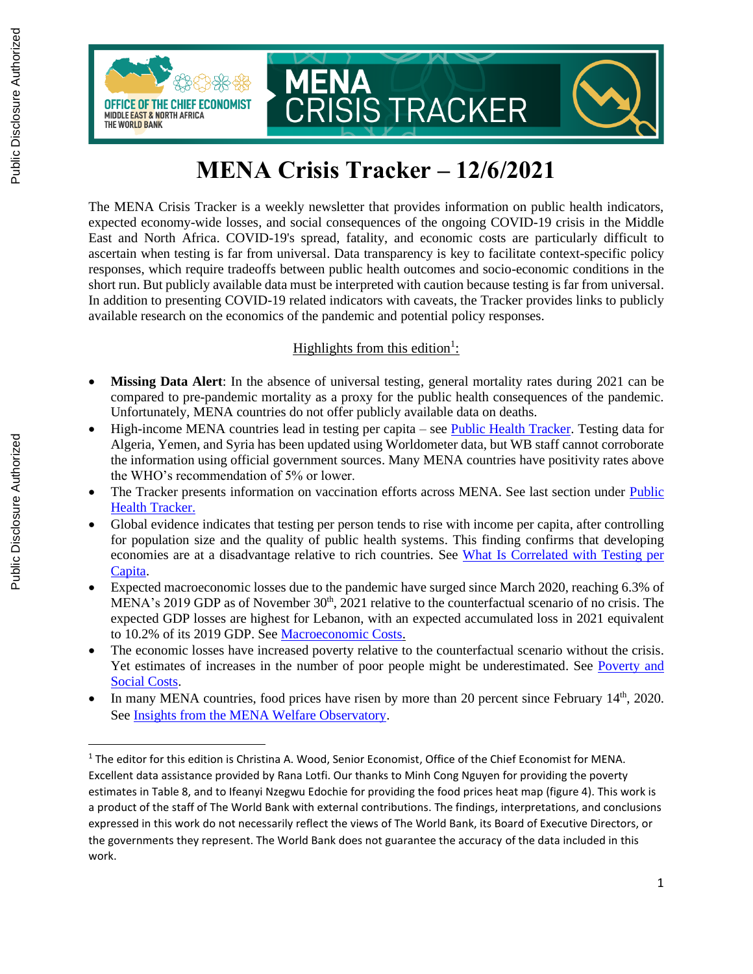

# **MENA Crisis Tracker – 12/6/2021**

The MENA Crisis Tracker is a weekly newsletter that provides information on public health indicators, expected economy-wide losses, and social consequences of the ongoing COVID-19 crisis in the Middle East and North Africa. COVID-19's spread, fatality, and economic costs are particularly difficult to ascertain when testing is far from universal. Data transparency is key to facilitate context-specific policy responses, which require tradeoffs between public health outcomes and socio-economic conditions in the short run. But publicly available data must be interpreted with caution because testing is far from universal. In addition to presenting COVID-19 related indicators with caveats, the Tracker provides links to publicly available research on the economics of the pandemic and potential policy responses.

### Highlights from this edition<sup>1</sup>:

- **Missing Data Alert**: In the absence of universal testing, general mortality rates during 2021 can be compared to pre-pandemic mortality as a proxy for the public health consequences of the pandemic. Unfortunately, MENA countries do not offer publicly available data on deaths.
- High-income MENA countries lead in testing per capita see [Public Health Tracker.](#page-1-0) Testing data for Algeria, Yemen, and Syria has been updated using Worldometer data, but WB staff cannot corroborate the information using official government sources. Many MENA countries have positivity rates above the WHO's recommendation of 5% or lower.
- The Tracker presents information on vaccination efforts across MENA. See last section under Public [Health Tracker.](#page-2-0)
- Global evidence indicates that testing per person tends to rise with income per capita, after controlling for population size and the quality of public health systems. This finding confirms that developing economies are at a disadvantage relative to rich countries. See [What Is Correlated with Testing per](#page-9-0)  [Capita.](#page-9-0)
- Expected macroeconomic losses due to the pandemic have surged since March 2020, reaching 6.3% of MENA's 2019 GDP as of November 30<sup>th</sup>, 2021 relative to the counterfactual scenario of no crisis. The expected GDP losses are highest for Lebanon, with an expected accumulated loss in 2021 equivalent to 10.2% of its 2019 GDP. See [Macroeconomic Costs.](#page-11-0)
- The economic losses have increased poverty relative to the counterfactual scenario without the crisis. Yet estimates of increases in the number of poor people might be underestimated. See [Poverty and](#page-14-0)  [Social Costs.](#page-14-0)
- In many MENA countries, food prices have risen by more than 20 percent since February 14<sup>th</sup>, 2020. See [Insights from the MENA Welfare Observatory.](#page-17-0)

<sup>&</sup>lt;sup>1</sup> The editor for this edition is Christina A. Wood, Senior Economist, Office of the Chief Economist for MENA. Excellent data assistance provided by Rana Lotfi. Our thanks to Minh Cong Nguyen for providing the poverty estimates in Table 8, and to Ifeanyi Nzegwu Edochie for providing the food prices heat map (figure 4). This work is a product of the staff of The World Bank with external contributions. The findings, interpretations, and conclusions expressed in this work do not necessarily reflect the views of The World Bank, its Board of Executive Directors, or the governments they represent. The World Bank does not guarantee the accuracy of the data included in this work.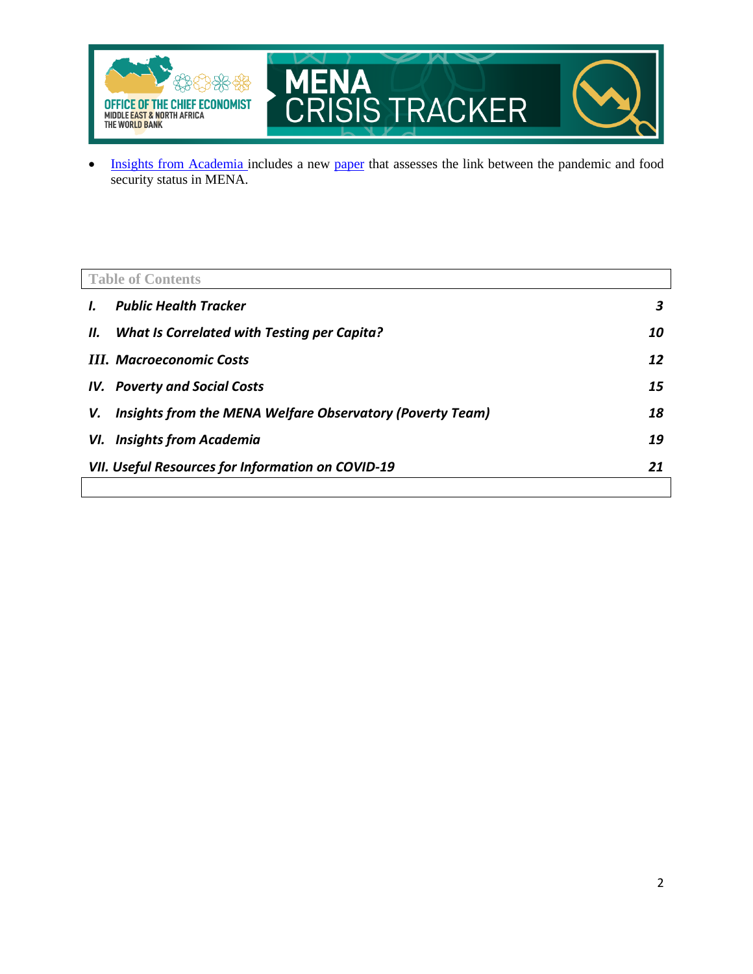

• [Insights from Academia](#page-18-0) includes a new [paper](https://erf.org.eg/publications/covid-19-and-food-security-challenges-in-the-mena-region-2/) that assesses the link between the pandemic and food security status in MENA.

<span id="page-1-0"></span>

|    | <b>Table of Contents</b>                                       |    |  |
|----|----------------------------------------------------------------|----|--|
|    | <b>Public Health Tracker</b>                                   | 3  |  |
| Ш. | What Is Correlated with Testing per Capita?                    | 10 |  |
|    | <b>III.</b> Macroeconomic Costs                                | 12 |  |
|    | <b>IV.</b> Poverty and Social Costs                            | 15 |  |
| v. | Insights from the MENA Welfare Observatory (Poverty Team)      | 18 |  |
|    | <b>VI.</b> Insights from Academia                              | 19 |  |
|    | <b>VII. Useful Resources for Information on COVID-19</b><br>21 |    |  |
|    |                                                                |    |  |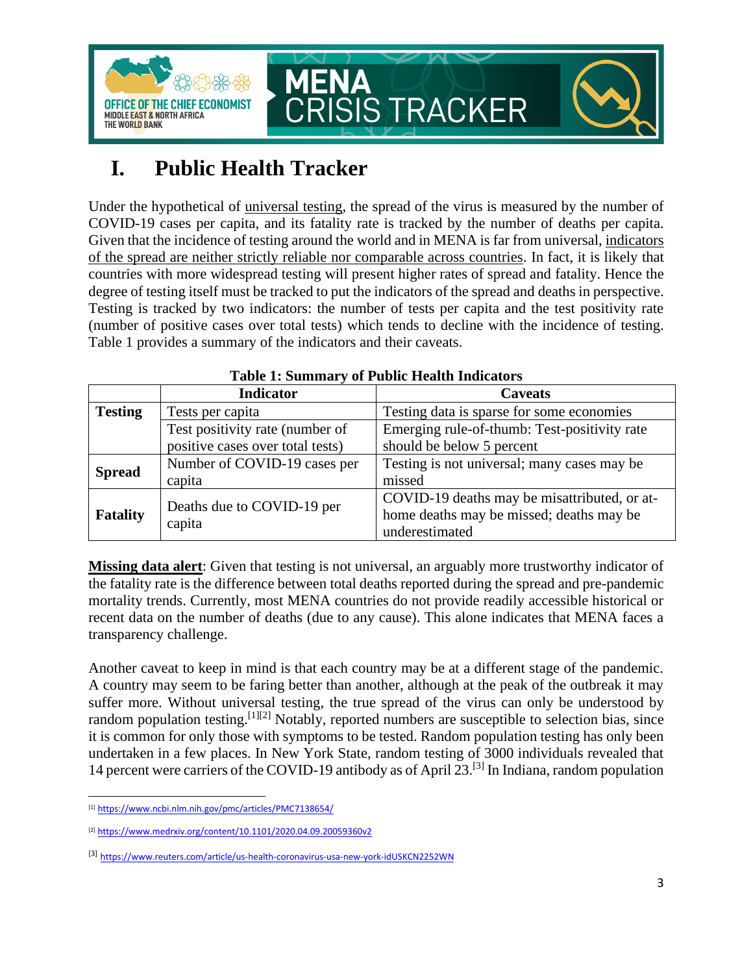

## <span id="page-2-0"></span>**I. Public Health Tracker**

Under the hypothetical of universal testing, the spread of the virus is measured by the number of COVID-19 cases per capita, and its fatality rate is tracked by the number of deaths per capita. Given that the incidence of testing around the world and in MENA is far from universal, indicators of the spread are neither strictly reliable nor comparable across countries. In fact, it is likely that countries with more widespread testing will present higher rates of spread and fatality. Hence the degree of testing itself must be tracked to put the indicators of the spread and deaths in perspective. Testing is tracked by two indicators: the number of tests per capita and the test positivity rate (number of positive cases over total tests) which tends to decline with the incidence of testing. Table 1 provides a summary of the indicators and their caveats.

|                                    | <b>Indicator</b>                 | <b>Caveats</b>                               |
|------------------------------------|----------------------------------|----------------------------------------------|
| <b>Testing</b><br>Tests per capita |                                  | Testing data is sparse for some economies    |
|                                    | Test positivity rate (number of  | Emerging rule-of-thumb: Test-positivity rate |
|                                    | positive cases over total tests) | should be below 5 percent                    |
| <b>Spread</b>                      | Number of COVID-19 cases per     | Testing is not universal; many cases may be  |
|                                    | capita                           | missed                                       |
|                                    |                                  | COVID-19 deaths may be misattributed, or at- |
| <b>Fatality</b>                    | Deaths due to COVID-19 per       | home deaths may be missed; deaths may be     |
|                                    | capita                           | underestimated                               |

### **Table 1: Summary of Public Health Indicators**

**Missing data alert**: Given that testing is not universal, an arguably more trustworthy indicator of the fatality rate is the difference between total deaths reported during the spread and pre-pandemic mortality trends. Currently, most MENA countries do not provide readily accessible historical or recent data on the number of deaths (due to any cause). This alone indicates that MENA faces a transparency challenge.

Another caveat to keep in mind is that each country may be at a different stage of the pandemic. A country may seem to be faring better than another, although at the peak of the outbreak it may suffer more. Without universal testing, the true spread of the virus can only be understood by random population testing.<sup>[1][2]</sup> Notably, reported numbers are susceptible to selection bias, since it is common for only those with symptoms to be tested. Random population testing has only been undertaken in a few places. In New York State, random testing of 3000 individuals revealed that 14 percent were carriers of the COVID-19 antibody as of April  $23$ .<sup>[3]</sup> In Indiana, random population

<sup>[1]</sup> <https://www.ncbi.nlm.nih.gov/pmc/articles/PMC7138654/>

<sup>[2]</sup> <https://www.medrxiv.org/content/10.1101/2020.04.09.20059360v2>

<sup>[3]</sup> <https://www.reuters.com/article/us-health-coronavirus-usa-new-york-idUSKCN2252WN>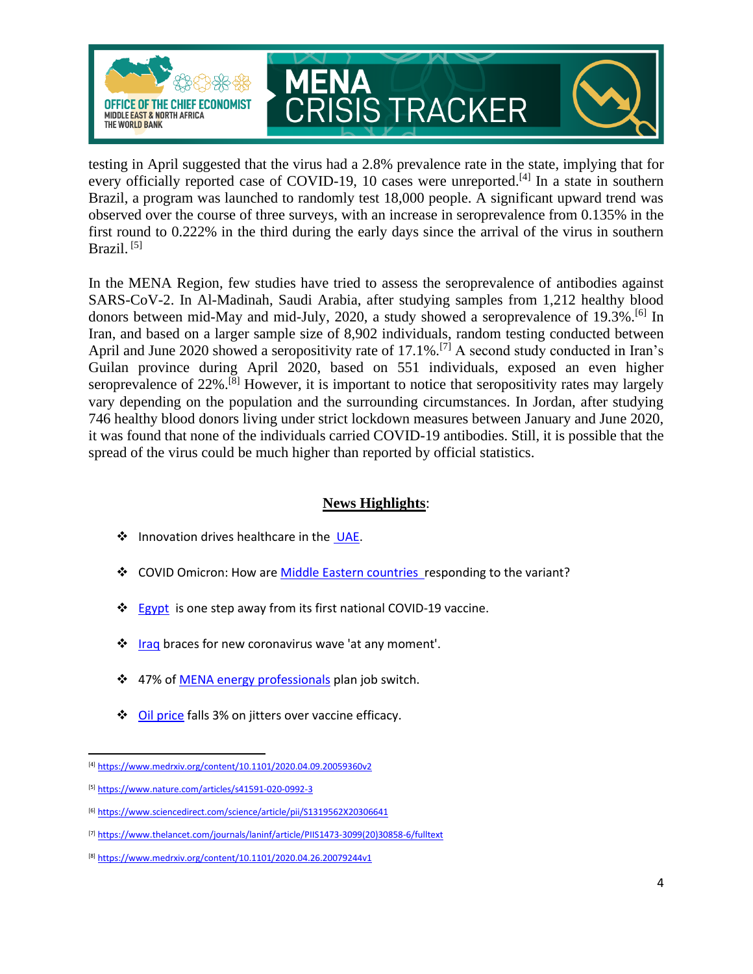

testing in April suggested that the virus had a 2.8% prevalence rate in the state, implying that for every officially reported case of COVID-19, 10 cases were unreported.<sup>[4]</sup> In a state in southern Brazil, a program was launched to randomly test 18,000 people. A significant upward trend was observed over the course of three surveys, with an increase in seroprevalence from 0.135% in the first round to 0.222% in the third during the early days since the arrival of the virus in southern Brazil.<sup>[5]</sup>

In the MENA Region, few studies have tried to assess the seroprevalence of antibodies against SARS-CoV-2. In Al-Madinah, Saudi Arabia, after studying samples from 1,212 healthy blood donors between mid-May and mid-July, 2020, a study showed a seroprevalence of 19.3%.[6] In Iran, and based on a larger sample size of 8,902 individuals, random testing conducted between April and June 2020 showed a seropositivity rate of 17.1%.[7] A second study conducted in Iran's Guilan province during April 2020, based on 551 individuals, exposed an even higher seroprevalence of 22%.<sup>[8]</sup> However, it is important to notice that seropositivity rates may largely vary depending on the population and the surrounding circumstances. In Jordan, after studying 746 healthy blood donors living under strict lockdown measures between January and June 2020, it was found that none of the individuals carried COVID-19 antibodies. Still, it is possible that the spread of the virus could be much higher than reported by official statistics.

### **News Highlights**:

- ❖ Innovation drives healthcare in the [UAE.](https://www.zawya.com/mena/en/business/story/Innovation_drives_healthcare_in_the_UAE-SNG_265950459/)
- ❖ COVID Omicron: How are [Middle Eastern countries](https://www.jpost.com/middle-east/covid-omicron-how-are-middle-eastern-countries-responding-to-the-variant-687134) responding to the variant?
- ❖ [Egypt](https://egyptindependent.com/egypt-is-one-step-away-from-its-first-national-covid-19-vaccine/) is one step away from its first national COVID-19 vaccine.
- ❖ [Iraq](https://www.thenationalnews.com/mena/iraq/2021/11/30/iraq-braces-for-new-coronavirus-wave-at-any-moment/) braces for new coronavirus wave 'at any moment'.
- ❖ 47% o[f MENA energy professionals](https://www.zawya.com/mena/en/economy/story/47_energy_professionals_in_Middle_East_plan_job_switch-SNG_265373556/) plan job switch.
- ❖ [Oil price](https://www.zawya.com/mena/en/markets/story/Oil_falls_3_on_jitters_over_vaccine_efficacy-TR20211130nL1N2SL04AX3/) falls 3% on jitters over vaccine efficacy.

<sup>[4]</sup> <https://www.medrxiv.org/content/10.1101/2020.04.09.20059360v2>

<sup>[5]</sup> <https://www.nature.com/articles/s41591-020-0992-3>

<sup>[6]</sup> <https://www.sciencedirect.com/science/article/pii/S1319562X20306641>

<sup>[7]</sup> [https://www.thelancet.com/journals/laninf/article/PIIS1473-3099\(20\)30858-6/fulltext](https://www.thelancet.com/journals/laninf/article/PIIS1473-3099(20)30858-6/fulltext)

<sup>[8]</sup> <https://www.medrxiv.org/content/10.1101/2020.04.26.20079244v1>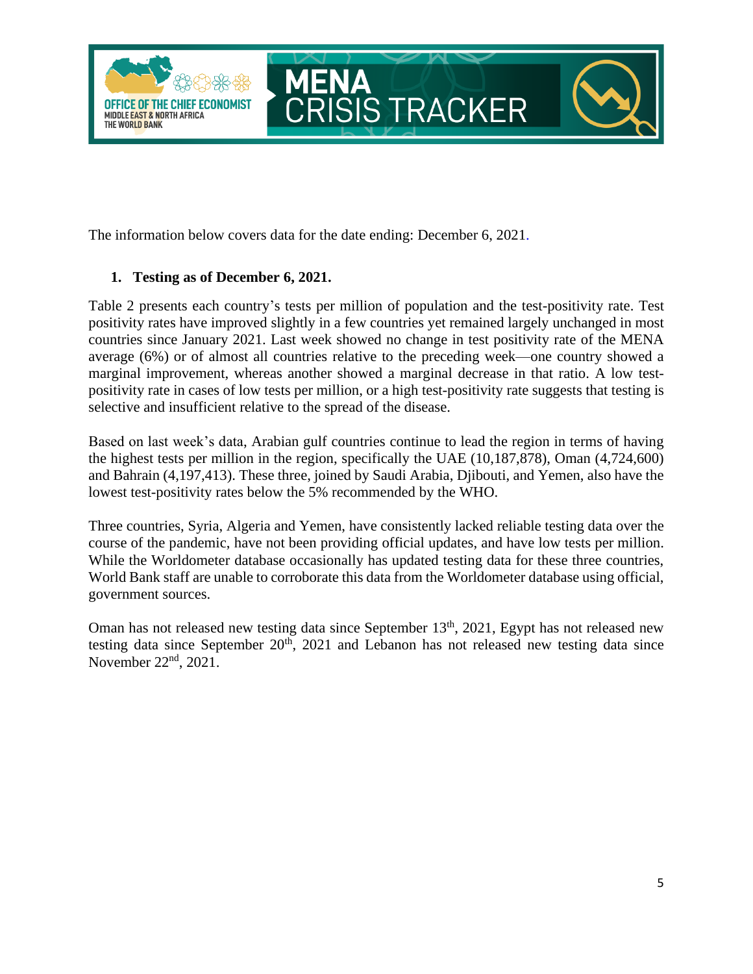

The information below covers data for the date ending: December 6, 2021.

### **1. Testing as of December 6, 2021.**

Table 2 presents each country's tests per million of population and the test-positivity rate. Test positivity rates have improved slightly in a few countries yet remained largely unchanged in most countries since January 2021. Last week showed no change in test positivity rate of the MENA average (6%) or of almost all countries relative to the preceding week—one country showed a marginal improvement, whereas another showed a marginal decrease in that ratio. A low testpositivity rate in cases of low tests per million, or a high test-positivity rate suggests that testing is selective and insufficient relative to the spread of the disease.

Based on last week's data, Arabian gulf countries continue to lead the region in terms of having the highest tests per million in the region, specifically the UAE (10,187,878), Oman (4,724,600) and Bahrain (4,197,413). These three, joined by Saudi Arabia, Djibouti, and Yemen, also have the lowest test-positivity rates below the 5% recommended by the WHO.

Three countries, Syria, Algeria and Yemen, have consistently lacked reliable testing data over the course of the pandemic, have not been providing official updates, and have low tests per million. While the Worldometer database occasionally has updated testing data for these three countries, World Bank staff are unable to corroborate this data from the Worldometer database using official, government sources.

Oman has not released new testing data since September 13<sup>th</sup>, 2021, Egypt has not released new testing data since September  $20<sup>th</sup>$ ,  $2021$  and Lebanon has not released new testing data since November  $22<sup>nd</sup>$ ,  $2021$ .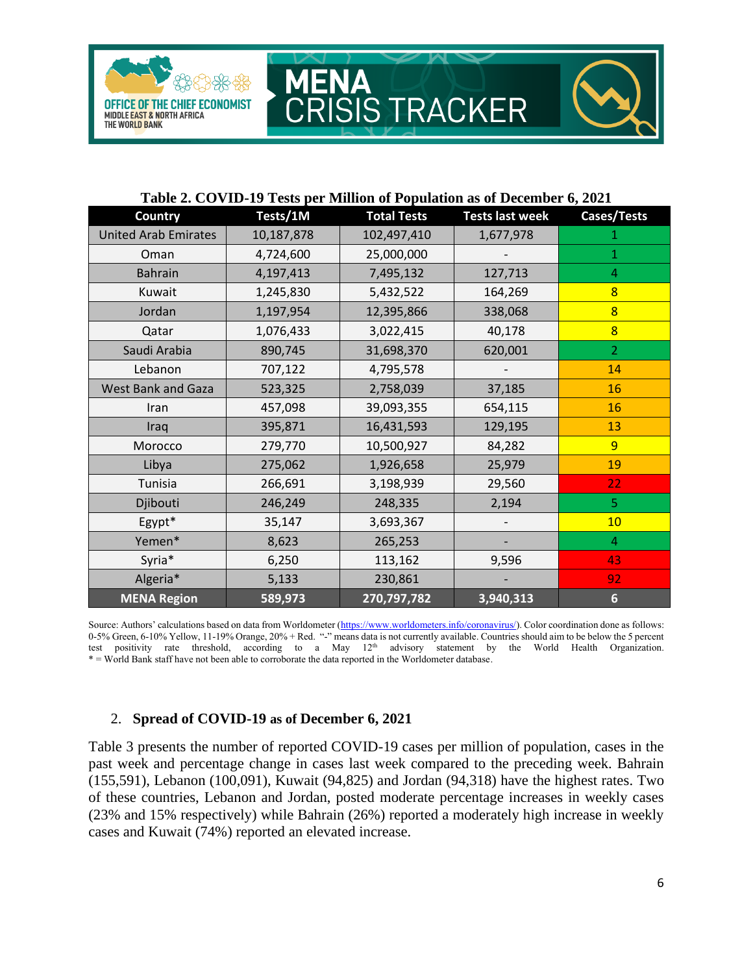

#### **Table 2. COVID-19 Tests per Million of Population as of December 6, 2021**

CRISIS TRACKER

ENA

M

| <b>Country</b>              | Tests/1M   | <b>Total Tests</b> | <b>Tests last week</b> | Cases/Tests     |
|-----------------------------|------------|--------------------|------------------------|-----------------|
| <b>United Arab Emirates</b> | 10,187,878 | 102,497,410        | 1,677,978              |                 |
| Oman                        | 4,724,600  | 25,000,000         |                        | 1               |
| <b>Bahrain</b>              | 4,197,413  | 7,495,132          | 127,713                | $\overline{4}$  |
| Kuwait                      | 1,245,830  | 5,432,522          | 164,269                | $\overline{8}$  |
| Jordan                      | 1,197,954  | 12,395,866         | 338,068                | 8               |
| Qatar                       | 1,076,433  | 3,022,415          | 40,178                 | $\overline{8}$  |
| Saudi Arabia                | 890,745    | 31,698,370         | 620,001                | $\overline{2}$  |
| Lebanon                     | 707,122    | 4,795,578          |                        | 14              |
| <b>West Bank and Gaza</b>   | 523,325    | 2,758,039          | 37,185                 | 16              |
| Iran                        | 457,098    | 39,093,355         | 654,115                | 16              |
| Iraq                        | 395,871    | 16,431,593         | 129,195                | 13              |
| Morocco                     | 279,770    | 10,500,927         | 84,282                 | 9               |
| Libya                       | 275,062    | 1,926,658          | 25,979                 | 19              |
| Tunisia                     | 266,691    | 3,198,939          | 29,560                 | 22              |
| Djibouti                    | 246,249    | 248,335            | 2,194                  | 5               |
| Egypt*                      | 35,147     | 3,693,367          |                        | 10              |
| Yemen*                      | 8,623      | 265,253            |                        | 4               |
| Syria*                      | 6,250      | 113,162            | 9,596                  | 43              |
| Algeria*                    | 5,133      | 230,861            |                        | 92              |
| <b>MENA Region</b>          | 589,973    | 270,797,782        | 3,940,313              | $6\phantom{1}6$ |

Source: Authors' calculations based on data from Worldometer ([https://www.worldometers.info/coronavirus/\)](https://www.worldometers.info/coronavirus/). Color coordination done as follows: 0-5% Green, 6-10% Yellow, 11-19% Orange, 20% + Red. "-" means data is not currently available. Countries should aim to be below the 5 percent test positivity rate threshold, according to a May 12<sup>th</sup> advisory statement by the World Health Organization. \* = World Bank staff have not been able to corroborate the data reported in the Worldometer database.

#### 2. **Spread of COVID-19 as of December 6, 2021**

Table 3 presents the number of reported COVID-19 cases per million of population, cases in the past week and percentage change in cases last week compared to the preceding week. Bahrain (155,591), Lebanon (100,091), Kuwait (94,825) and Jordan (94,318) have the highest rates. Two of these countries, Lebanon and Jordan, posted moderate percentage increases in weekly cases (23% and 15% respectively) while Bahrain (26%) reported a moderately high increase in weekly cases and Kuwait (74%) reported an elevated increase.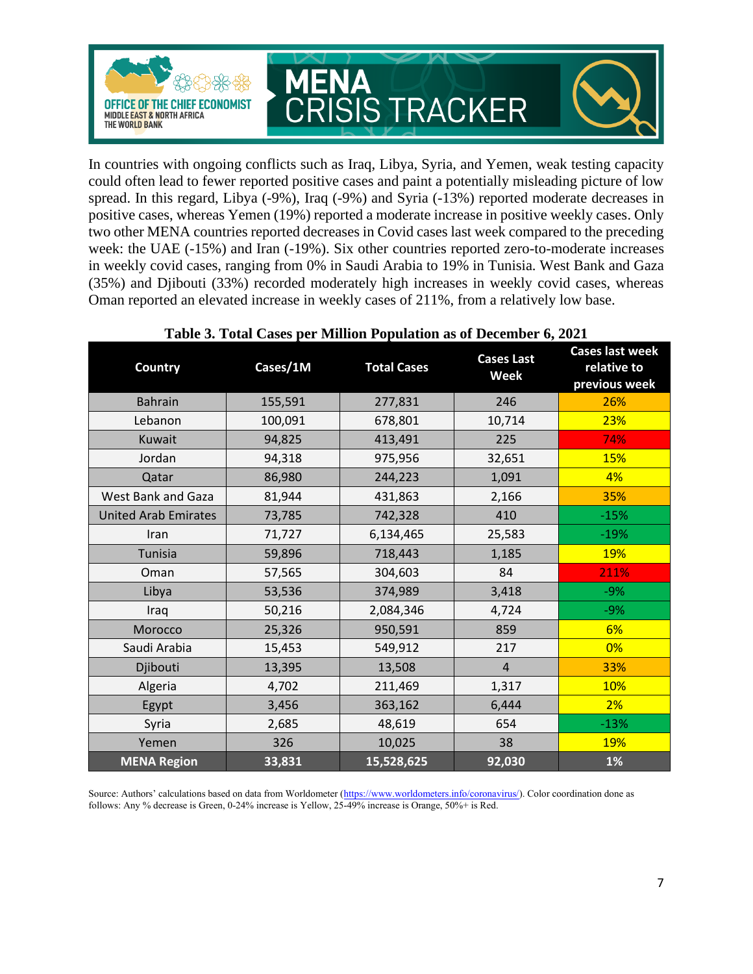

In countries with ongoing conflicts such as Iraq, Libya, Syria, and Yemen, weak testing capacity could often lead to fewer reported positive cases and paint a potentially misleading picture of low spread. In this regard, Libya (-9%), Iraq (-9%) and Syria (-13%) reported moderate decreases in positive cases, whereas Yemen (19%) reported a moderate increase in positive weekly cases. Only two other MENA countries reported decreases in Covid cases last week compared to the preceding week: the UAE (-15%) and Iran (-19%). Six other countries reported zero-to-moderate increases in weekly covid cases, ranging from 0% in Saudi Arabia to 19% in Tunisia. West Bank and Gaza (35%) and Djibouti (33%) recorded moderately high increases in weekly covid cases, whereas Oman reported an elevated increase in weekly cases of 211%, from a relatively low base.

| <b>Country</b>              | Cases/1M | <b>Total Cases</b> | <b>Cases Last</b><br><b>Week</b> | <b>Cases last week</b><br>relative to<br>previous week |
|-----------------------------|----------|--------------------|----------------------------------|--------------------------------------------------------|
| <b>Bahrain</b>              | 155,591  | 277,831            | 246                              | 26%                                                    |
| Lebanon                     | 100,091  | 678,801            | 10,714                           | 23%                                                    |
| Kuwait                      | 94,825   | 413,491            | 225                              | 74%                                                    |
| Jordan                      | 94,318   | 975,956            | 32,651                           | <b>15%</b>                                             |
| Qatar                       | 86,980   | 244,223            | 1,091                            | 4%                                                     |
| West Bank and Gaza          | 81,944   | 431,863            | 2,166                            | 35%                                                    |
| <b>United Arab Emirates</b> | 73,785   | 742,328            | 410                              | $-15%$                                                 |
| Iran                        | 71,727   | 6,134,465          | 25,583                           | $-19%$                                                 |
| Tunisia                     | 59,896   | 718,443            | 1,185                            | 19%                                                    |
| Oman                        | 57,565   | 304,603            | 84                               | 211%                                                   |
| Libya                       | 53,536   | 374,989            | 3,418                            | $-9%$                                                  |
| Iraq                        | 50,216   | 2,084,346          | 4,724                            | $-9%$                                                  |
| Morocco                     | 25,326   | 950,591            | 859                              | 6%                                                     |
| Saudi Arabia                | 15,453   | 549,912            | 217                              | 0%                                                     |
| Djibouti                    | 13,395   | 13,508             | $\overline{4}$                   | 33%                                                    |
| Algeria                     | 4,702    | 211,469            | 1,317                            | 10%                                                    |
| Egypt                       | 3,456    | 363,162            | 6,444                            | 2%                                                     |
| Syria                       | 2,685    | 48,619             | 654                              | $-13%$                                                 |
| Yemen                       | 326      | 10,025             | 38                               | 19%                                                    |
| <b>MENA Region</b>          | 33,831   | 15,528,625         | 92,030                           | $1\%$                                                  |

#### **Table 3. Total Cases per Million Population as of December 6, 2021**

Source: Authors' calculations based on data from Worldometer ([https://www.worldometers.info/coronavirus/\)](https://www.worldometers.info/coronavirus/). Color coordination done as follows: Any % decrease is Green, 0-24% increase is Yellow, 25-49% increase is Orange, 50%+ is Red.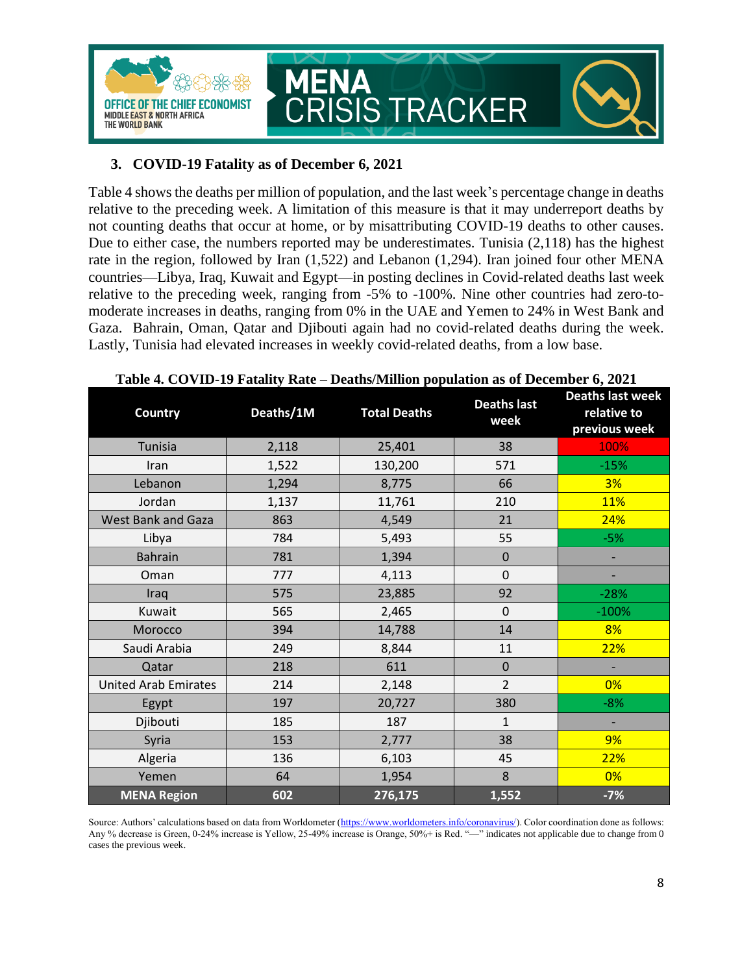

### **3. COVID-19 Fatality as of December 6, 2021**

Table 4 shows the deaths per million of population, and the last week's percentage change in deaths relative to the preceding week. A limitation of this measure is that it may underreport deaths by not counting deaths that occur at home, or by misattributing COVID-19 deaths to other causes. Due to either case, the numbers reported may be underestimates. Tunisia (2,118) has the highest rate in the region, followed by Iran (1,522) and Lebanon (1,294). Iran joined four other MENA countries—Libya, Iraq, Kuwait and Egypt—in posting declines in Covid-related deaths last week relative to the preceding week, ranging from -5% to -100%. Nine other countries had zero-tomoderate increases in deaths, ranging from 0% in the UAE and Yemen to 24% in West Bank and Gaza. Bahrain, Oman, Qatar and Djibouti again had no covid-related deaths during the week. Lastly, Tunisia had elevated increases in weekly covid-related deaths, from a low base.

| <b>Country</b>              | Deaths/1M | <b>Total Deaths</b> | <b>Deaths last</b><br>week | <b>Deaths last week</b><br>relative to<br>previous week |
|-----------------------------|-----------|---------------------|----------------------------|---------------------------------------------------------|
| Tunisia                     | 2,118     | 25,401              | 38                         | 100%                                                    |
| Iran                        | 1,522     | 130,200             | 571                        | $-15%$                                                  |
| Lebanon                     | 1,294     | 8,775               | 66                         | 3%                                                      |
| Jordan                      | 1,137     | 11,761              | 210                        | <b>11%</b>                                              |
| <b>West Bank and Gaza</b>   | 863       | 4,549               | 21                         | 24%                                                     |
| Libya                       | 784       | 5,493               | 55                         | $-5%$                                                   |
| <b>Bahrain</b>              | 781       | 1,394               | $\Omega$                   | $\qquad \qquad \blacksquare$                            |
| Oman                        | 777       | 4,113               | 0                          |                                                         |
| Iraq                        | 575       | 23,885              | 92                         | $-28%$                                                  |
| Kuwait                      | 565       | 2,465               | $\mathbf 0$                | $-100%$                                                 |
| Morocco                     | 394       | 14,788              | 14                         | 8%                                                      |
| Saudi Arabia                | 249       | 8,844               | 11                         | 22%                                                     |
| Qatar                       | 218       | 611                 | $\mathbf 0$                |                                                         |
| <b>United Arab Emirates</b> | 214       | 2,148               | $\overline{2}$             | 0%                                                      |
| Egypt                       | 197       | 20,727              | 380                        | $-8%$                                                   |
| Djibouti                    | 185       | 187                 | $\mathbf{1}$               |                                                         |
| Syria                       | 153       | 2,777               | 38                         | 9%                                                      |
| Algeria                     | 136       | 6,103               | 45                         | 22%                                                     |
| Yemen                       | 64        | 1,954               | 8                          | 0%                                                      |
| <b>MENA Region</b>          | 602       | 276,175             | 1,552                      | $-7%$                                                   |

Source: Authors' calculations based on data from Worldometer ([https://www.worldometers.info/coronavirus/\)](https://www.worldometers.info/coronavirus/). Color coordination done as follows: Any % decrease is Green, 0-24% increase is Yellow, 25-49% increase is Orange, 50%+ is Red. "—" indicates not applicable due to change from 0 cases the previous week.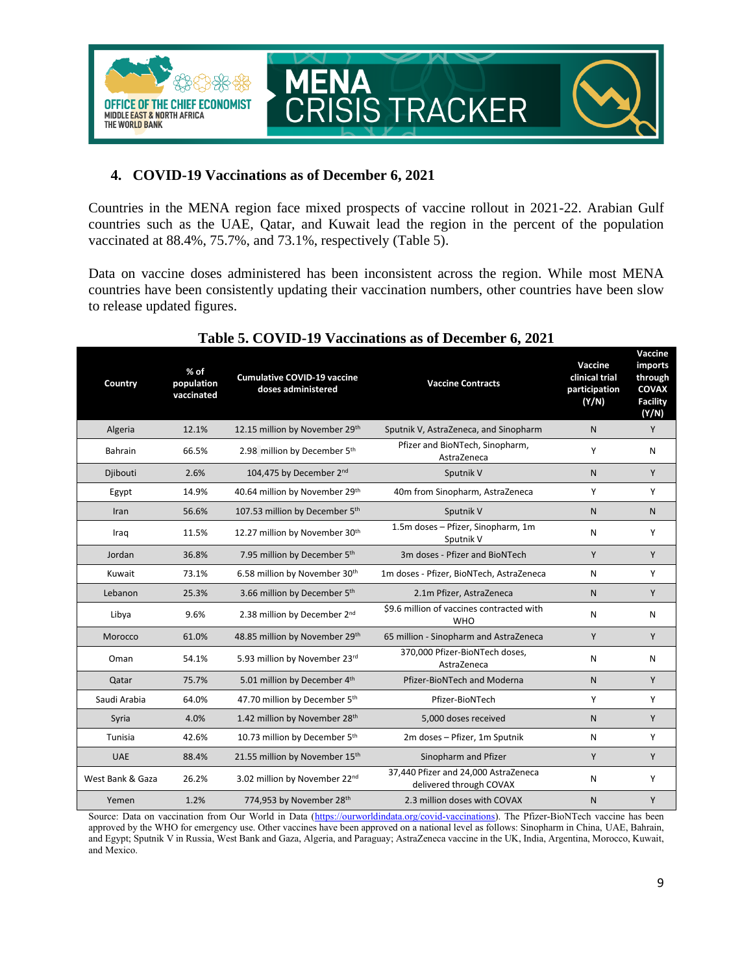

### **4. COVID-19 Vaccinations as of December 6, 2021**

Countries in the MENA region face mixed prospects of vaccine rollout in 2021-22. Arabian Gulf countries such as the UAE, Qatar, and Kuwait lead the region in the percent of the population vaccinated at 88.4%, 75.7%, and 73.1%, respectively (Table 5).

Data on vaccine doses administered has been inconsistent across the region. While most MENA countries have been consistently updating their vaccination numbers, other countries have been slow to release updated figures.

| Country          | % of<br>population<br>vaccinated | <b>Cumulative COVID-19 vaccine</b><br>doses administered | <b>Vaccine Contracts</b>                                        | Vaccine<br>clinical trial<br>participation<br>(Y/N) | Vaccine<br>imports<br>through<br>COVAX<br><b>Facility</b><br>(Y/N) |
|------------------|----------------------------------|----------------------------------------------------------|-----------------------------------------------------------------|-----------------------------------------------------|--------------------------------------------------------------------|
| Algeria          | 12.1%                            | 12.15 million by November 29th                           | Sputnik V, AstraZeneca, and Sinopharm                           | $\mathsf{N}$                                        | Y                                                                  |
| <b>Bahrain</b>   | 66.5%                            | 2.98 million by December 5th                             | Pfizer and BioNTech, Sinopharm,<br>AstraZeneca                  | Y                                                   | N                                                                  |
| Djibouti         | 2.6%                             | 104,475 by December 2 <sup>nd</sup>                      | Sputnik V                                                       | $\mathsf{N}$                                        | Y                                                                  |
| Egypt            | 14.9%                            | 40.64 million by November 29th                           | 40m from Sinopharm, AstraZeneca                                 | Υ                                                   | Y                                                                  |
| Iran             | 56.6%                            | 107.53 million by December 5th                           | Sputnik V                                                       | N                                                   | $\mathsf{N}$                                                       |
| Iraq             | 11.5%                            | 12.27 million by November 30th                           | 1.5m doses - Pfizer, Sinopharm, 1m<br>Sputnik V                 | N                                                   | Y                                                                  |
| Jordan           | 36.8%                            | 7.95 million by December 5th                             | 3m doses - Pfizer and BioNTech                                  | Y                                                   | Y                                                                  |
| Kuwait           | 73.1%                            | 6.58 million by November 30th                            | 1m doses - Pfizer, BioNTech, AstraZeneca                        | N                                                   | Y                                                                  |
| Lebanon          | 25.3%                            | 3.66 million by December 5th                             | 2.1m Pfizer, AstraZeneca                                        | N                                                   | Y                                                                  |
| Libya            | 9.6%                             | 2.38 million by December 2nd                             | \$9.6 million of vaccines contracted with<br><b>WHO</b>         | N                                                   | N                                                                  |
| Morocco          | 61.0%                            | 48.85 million by November 29th                           | 65 million - Sinopharm and AstraZeneca                          | Y                                                   | Y                                                                  |
| Oman             | 54.1%                            | 5.93 million by November 23rd                            | 370,000 Pfizer-BioNTech doses,<br>AstraZeneca                   | N                                                   | N                                                                  |
| Qatar            | 75.7%                            | 5.01 million by December 4th                             | Pfizer-BioNTech and Moderna                                     | N                                                   | Y                                                                  |
| Saudi Arabia     | 64.0%                            | 47.70 million by December 5th                            | Pfizer-BioNTech                                                 | Υ                                                   | Y                                                                  |
| Syria            | 4.0%                             | 1.42 million by November 28th                            | 5,000 doses received                                            | N                                                   | Y                                                                  |
| Tunisia          | 42.6%                            | 10.73 million by December 5th                            | 2m doses - Pfizer, 1m Sputnik                                   | N                                                   | Y                                                                  |
| <b>UAE</b>       | 88.4%                            | 21.55 million by November 15th                           | Sinopharm and Pfizer                                            | Y                                                   | Y                                                                  |
| West Bank & Gaza | 26.2%                            | 3.02 million by November 22nd                            | 37,440 Pfizer and 24,000 AstraZeneca<br>delivered through COVAX | N                                                   | Y                                                                  |
| Yemen            | 1.2%                             | 774,953 by November 28th                                 | 2.3 million doses with COVAX                                    | N                                                   | Y                                                                  |

### **Table 5. COVID-19 Vaccinations as of December 6, 2021**

Source: Data on vaccination from Our World in Data [\(https://ourworldindata.org/covid-vaccinations\)](https://ourworldindata.org/covid-vaccinations). The Pfizer-BioNTech vaccine has been approved by the WHO for emergency use. Other vaccines have been approved on a national level as follows: Sinopharm in China, UAE, Bahrain, and Egypt; Sputnik V in Russia, West Bank and Gaza, Algeria, and Paraguay; AstraZeneca vaccine in the UK, India, Argentina, Morocco, Kuwait, and Mexico.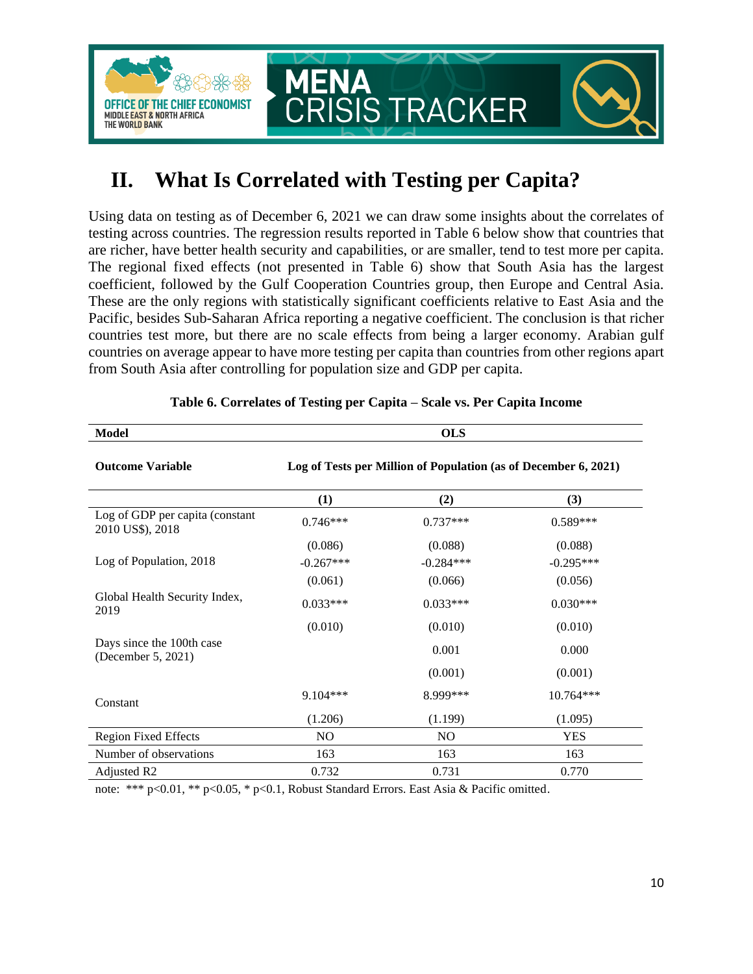

## <span id="page-9-0"></span>**II. What Is Correlated with Testing per Capita?**

Using data on testing as of December 6, 2021 we can draw some insights about the correlates of testing across countries. The regression results reported in Table 6 below show that countries that are richer, have better health security and capabilities, or are smaller, tend to test more per capita. The regional fixed effects (not presented in Table 6) show that South Asia has the largest coefficient, followed by the Gulf Cooperation Countries group, then Europe and Central Asia. These are the only regions with statistically significant coefficients relative to East Asia and the Pacific, besides Sub-Saharan Africa reporting a negative coefficient. The conclusion is that richer countries test more, but there are no scale effects from being a larger economy. Arabian gulf countries on average appear to have more testing per capita than countries from other regions apart from South Asia after controlling for population size and GDP per capita.

| <b>Model</b>                                        | <b>OLS</b>                                                      |             |             |  |
|-----------------------------------------------------|-----------------------------------------------------------------|-------------|-------------|--|
| <b>Outcome Variable</b>                             | Log of Tests per Million of Population (as of December 6, 2021) |             |             |  |
|                                                     | (1)                                                             | (2)         | (3)         |  |
| Log of GDP per capita (constant<br>2010 US\$), 2018 | $0.746***$                                                      | $0.737***$  | $0.589***$  |  |
|                                                     | (0.086)                                                         | (0.088)     | (0.088)     |  |
| Log of Population, 2018                             | $-0.267***$                                                     | $-0.284***$ | $-0.295***$ |  |
|                                                     | (0.061)                                                         | (0.066)     | (0.056)     |  |
| Global Health Security Index,<br>2019               | $0.033***$                                                      | $0.033***$  | $0.030***$  |  |
|                                                     | (0.010)                                                         | (0.010)     | (0.010)     |  |
| Days since the 100th case<br>(December 5, 2021)     |                                                                 | 0.001       | 0.000       |  |
|                                                     |                                                                 | (0.001)     | (0.001)     |  |
| Constant                                            | 9.104***                                                        | 8.999***    | 10.764***   |  |
|                                                     | (1.206)                                                         | (1.199)     | (1.095)     |  |
| <b>Region Fixed Effects</b>                         | N <sub>O</sub>                                                  | NO.         | <b>YES</b>  |  |
| Number of observations                              | 163                                                             | 163         | 163         |  |
| Adjusted R <sub>2</sub>                             | 0.732                                                           | 0.731       | 0.770       |  |

#### **Table 6. Correlates of Testing per Capita – Scale vs. Per Capita Income**

note: \*\*\* p<0.01, \*\* p<0.05, \* p<0.1, Robust Standard Errors. East Asia & Pacific omitted.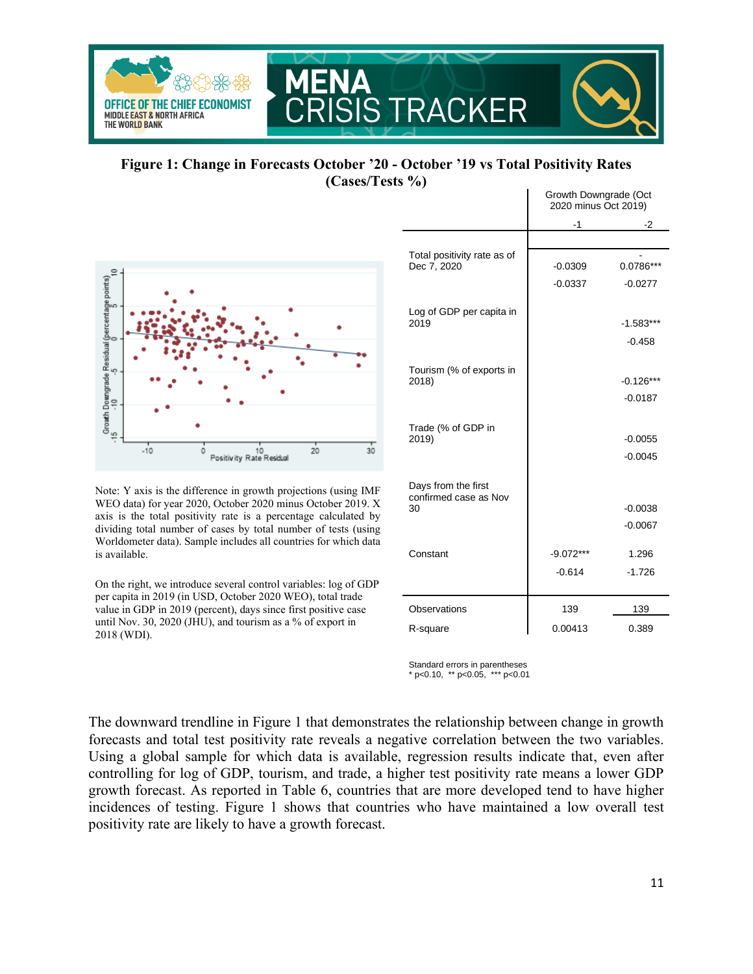

**Figure 1: Change in Forecasts October '20 - October '19 vs Total Positivity Rates (Cases/Tests %)** Growth Downgrade (Oct



Note: Y axis is the difference in growth projections (using IMF WEO data) for year 2020, October 2020 minus October 2019. X axis is the total positivity rate is a percentage calculated by dividing total number of cases by total number of tests (using Worldometer data). Sample includes all countries for which data is available.

On the right, we introduce several control variables: log of GDP per capita in 2019 (in USD, October 2020 WEO), total trade value in GDP in 2019 (percent), days since first positive case until Nov. 30, 2020 (JHU), and tourism as a % of export in 2018 (WDI).

|                                              | Glowin Downgrade (Oct<br>2020 minus Oct 2019) |             |
|----------------------------------------------|-----------------------------------------------|-------------|
|                                              | $-1$                                          | -2          |
|                                              |                                               |             |
| Total positivity rate as of<br>Dec 7, 2020   | $-0.0309$                                     | 0.0786***   |
|                                              | $-0.0337$                                     | $-0.0277$   |
| Log of GDP per capita in<br>2019             |                                               | $-1.583***$ |
|                                              |                                               | $-0.458$    |
|                                              |                                               |             |
| Tourism (% of exports in<br>2018)            |                                               | $-0.126***$ |
|                                              |                                               | $-0.0187$   |
| Trade (% of GDP in                           |                                               |             |
| 2019)                                        |                                               | $-0.0055$   |
|                                              |                                               | $-0.0045$   |
| Days from the first<br>confirmed case as Nov |                                               |             |
| 30                                           |                                               | $-0.0038$   |
|                                              |                                               | $-0.0067$   |
| Constant                                     | $-9.072***$                                   | 1.296       |
|                                              | $-0.614$                                      | $-1.726$    |
|                                              |                                               |             |
| Observations                                 | 139                                           | 139         |
| R-square                                     | 0.00413                                       | 0.389       |

Standard errors in parentheses \* p<0.10, \*\* p<0.05, \*\*\* p<0.01

The downward trendline in Figure 1 that demonstrates the relationship between change in growth forecasts and total test positivity rate reveals a negative correlation between the two variables. Using a global sample for which data is available, regression results indicate that, even after controlling for log of GDP, tourism, and trade, a higher test positivity rate means a lower GDP growth forecast. As reported in Table 6, countries that are more developed tend to have higher incidences of testing. Figure 1 shows that countries who have maintained a low overall test positivity rate are likely to have a growth forecast.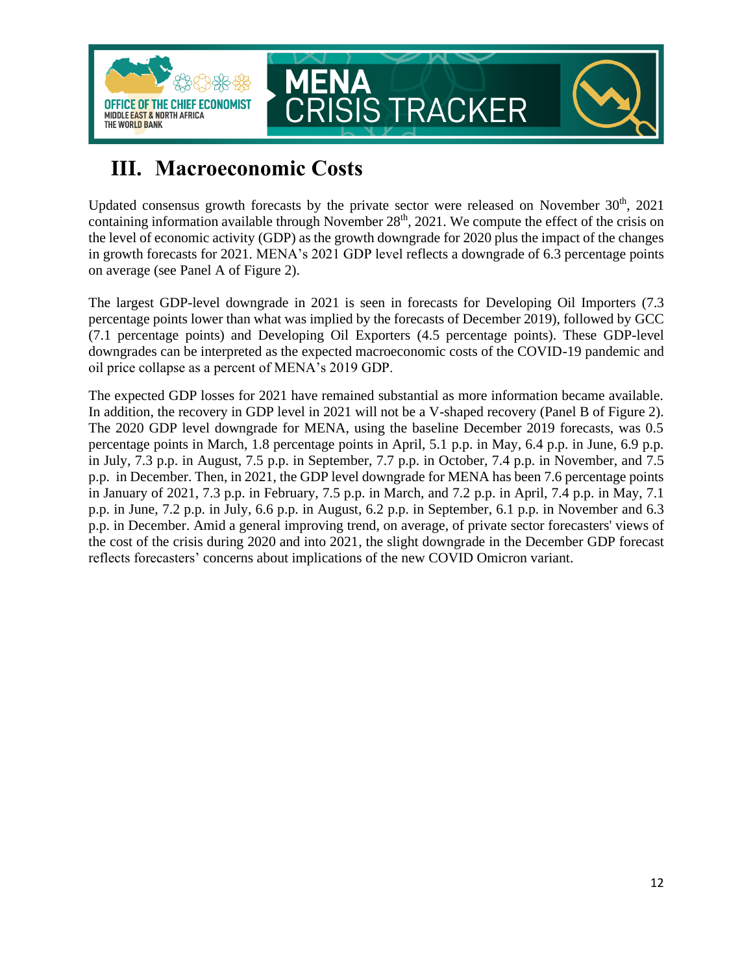

## <span id="page-11-0"></span>**III. Macroeconomic Costs**

Updated consensus growth forecasts by the private sector were released on November  $30<sup>th</sup>$ ,  $2021$ containing information available through November  $28<sup>th</sup>$ , 2021. We compute the effect of the crisis on the level of economic activity (GDP) as the growth downgrade for 2020 plus the impact of the changes in growth forecasts for 2021. MENA's 2021 GDP level reflects a downgrade of 6.3 percentage points on average (see Panel A of Figure 2).

The largest GDP-level downgrade in 2021 is seen in forecasts for Developing Oil Importers (7.3 percentage points lower than what was implied by the forecasts of December 2019), followed by GCC (7.1 percentage points) and Developing Oil Exporters (4.5 percentage points). These GDP-level downgrades can be interpreted as the expected macroeconomic costs of the COVID-19 pandemic and oil price collapse as a percent of MENA's 2019 GDP.

The expected GDP losses for 2021 have remained substantial as more information became available. In addition, the recovery in GDP level in 2021 will not be a V-shaped recovery (Panel B of Figure 2). The 2020 GDP level downgrade for MENA, using the baseline December 2019 forecasts, was 0.5 percentage points in March, 1.8 percentage points in April, 5.1 p.p. in May, 6.4 p.p. in June, 6.9 p.p. in July, 7.3 p.p. in August, 7.5 p.p. in September, 7.7 p.p. in October, 7.4 p.p. in November, and 7.5 p.p. in December. Then, in 2021, the GDP level downgrade for MENA has been 7.6 percentage points in January of 2021, 7.3 p.p. in February, 7.5 p.p. in March, and 7.2 p.p. in April, 7.4 p.p. in May, 7.1 p.p. in June, 7.2 p.p. in July, 6.6 p.p. in August, 6.2 p.p. in September, 6.1 p.p. in November and 6.3 p.p. in December. Amid a general improving trend, on average, of private sector forecasters' views of the cost of the crisis during 2020 and into 2021, the slight downgrade in the December GDP forecast reflects forecasters' concerns about implications of the new COVID Omicron variant.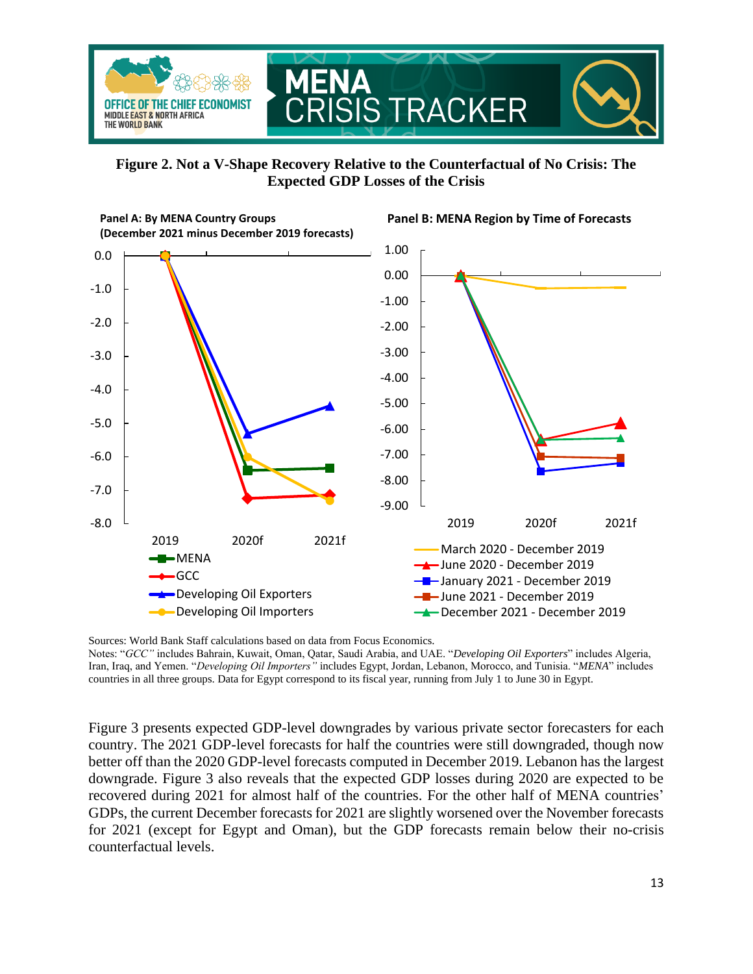

**Figure 2. Not a V-Shape Recovery Relative to the Counterfactual of No Crisis: The Expected GDP Losses of the Crisis**

**Panel B: MENA Region by Time of Forecasts**



**Panel A: By MENA Country Groups (December 2021 minus December 2019 forecasts)**

Sources: World Bank Staff calculations based on data from Focus Economics. Notes: "*GCC"* includes Bahrain, Kuwait, Oman, Qatar, Saudi Arabia, and UAE. "*Developing Oil Exporters*" includes Algeria, Iran, Iraq, and Yemen. "*Developing Oil Importers"* includes Egypt, Jordan, Lebanon, Morocco, and Tunisia. "*MENA*" includes countries in all three groups. Data for Egypt correspond to its fiscal year, running from July 1 to June 30 in Egypt.

Figure 3 presents expected GDP-level downgrades by various private sector forecasters for each country. The 2021 GDP-level forecasts for half the countries were still downgraded, though now better off than the 2020 GDP-level forecasts computed in December 2019. Lebanon has the largest downgrade. Figure 3 also reveals that the expected GDP losses during 2020 are expected to be recovered during 2021 for almost half of the countries. For the other half of MENA countries' GDPs, the current December forecasts for 2021 are slightly worsened over the November forecasts for 2021 (except for Egypt and Oman), but the GDP forecasts remain below their no-crisis counterfactual levels.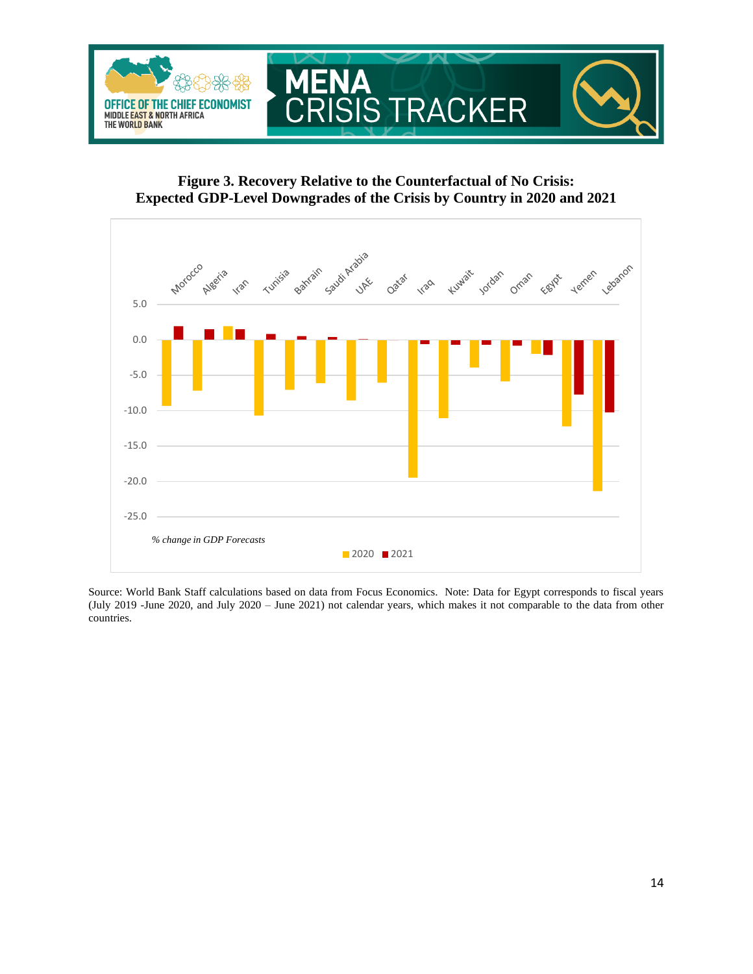

**Figure 3. Recovery Relative to the Counterfactual of No Crisis: Expected GDP-Level Downgrades of the Crisis by Country in 2020 and 2021**



Source: World Bank Staff calculations based on data from Focus Economics. Note: Data for Egypt corresponds to fiscal years (July 2019 -June 2020, and July 2020 – June 2021) not calendar years, which makes it not comparable to the data from other countries.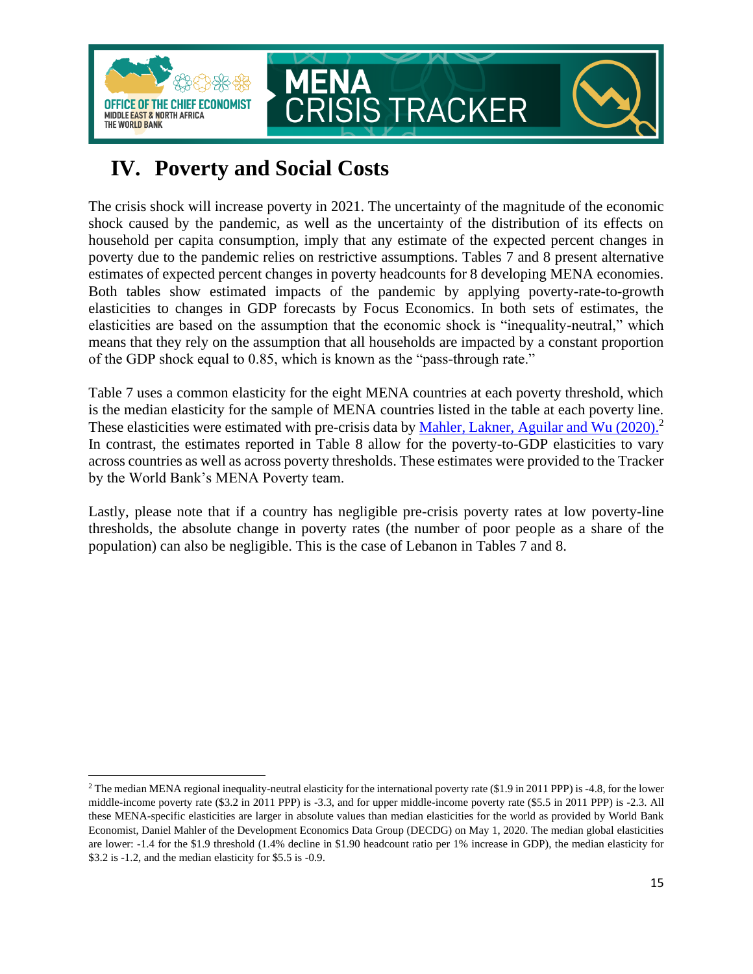

## <span id="page-14-0"></span>**IV. Poverty and Social Costs**

The crisis shock will increase poverty in 2021. The uncertainty of the magnitude of the economic shock caused by the pandemic, as well as the uncertainty of the distribution of its effects on household per capita consumption, imply that any estimate of the expected percent changes in poverty due to the pandemic relies on restrictive assumptions. Tables 7 and 8 present alternative estimates of expected percent changes in poverty headcounts for 8 developing MENA economies. Both tables show estimated impacts of the pandemic by applying poverty-rate-to-growth elasticities to changes in GDP forecasts by Focus Economics. In both sets of estimates, the elasticities are based on the assumption that the economic shock is "inequality-neutral," which means that they rely on the assumption that all households are impacted by a constant proportion of the GDP shock equal to 0.85, which is known as the "pass-through rate."

Table 7 uses a common elasticity for the eight MENA countries at each poverty threshold, which is the median elasticity for the sample of MENA countries listed in the table at each poverty line. These elasticities were estimated with pre-crisis data by [Mahler, Lakner, Aguilar and Wu \(2020\).](https://blogs.worldbank.org/opendata/impact-covid-19-coronavirus-global-poverty-why-sub-saharan-africa-might-be-region-hardest)<sup>2</sup> In contrast, the estimates reported in Table 8 allow for the poverty-to-GDP elasticities to vary across countries as well as across poverty thresholds. These estimates were provided to the Tracker by the World Bank's MENA Poverty team.

Lastly, please note that if a country has negligible pre-crisis poverty rates at low poverty-line thresholds, the absolute change in poverty rates (the number of poor people as a share of the population) can also be negligible. This is the case of Lebanon in Tables 7 and 8.

<sup>&</sup>lt;sup>2</sup> The median MENA regional inequality-neutral elasticity for the international poverty rate (\$1.9 in 2011 PPP) is -4.8, for the lower middle-income poverty rate (\$3.2 in 2011 PPP) is -3.3, and for upper middle-income poverty rate (\$5.5 in 2011 PPP) is -2.3. All these MENA-specific elasticities are larger in absolute values than median elasticities for the world as provided by World Bank Economist, Daniel Mahler of the Development Economics Data Group (DECDG) on May 1, 2020. The median global elasticities are lower: -1.4 for the \$1.9 threshold (1.4% decline in \$1.90 headcount ratio per 1% increase in GDP), the median elasticity for \$3.2 is -1.2, and the median elasticity for \$5.5 is -0.9.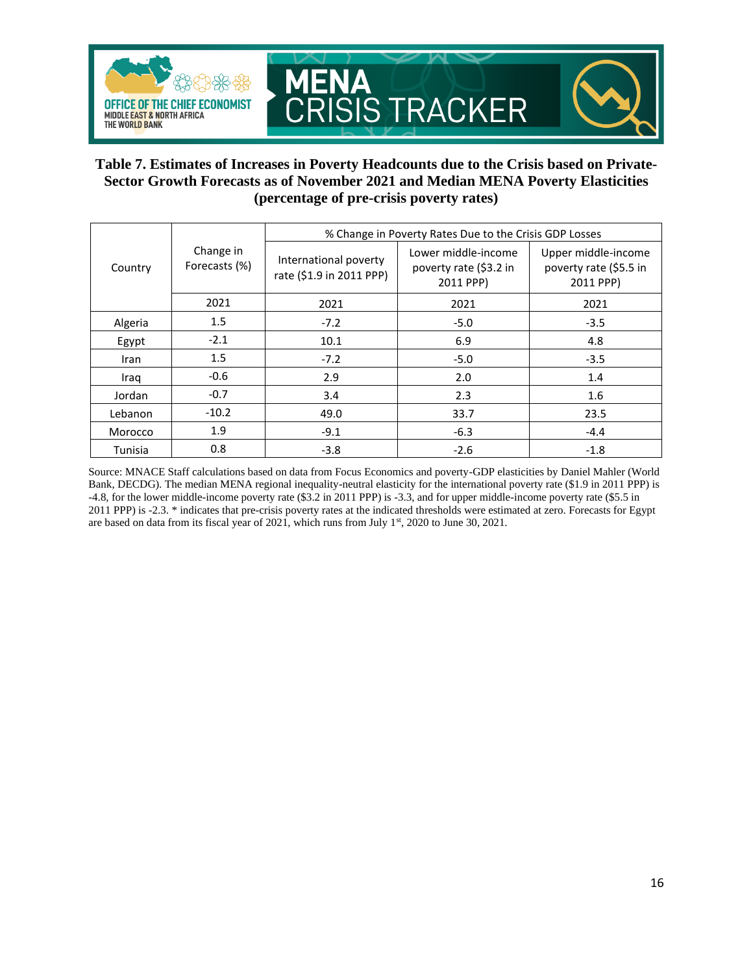

### **Table 7. Estimates of Increases in Poverty Headcounts due to the Crisis based on Private-Sector Growth Forecasts as of November 2021 and Median MENA Poverty Elasticities (percentage of pre-crisis poverty rates)**

|             | Change in<br>Forecasts (%) | % Change in Poverty Rates Due to the Crisis GDP Losses |                                                            |                                                            |  |
|-------------|----------------------------|--------------------------------------------------------|------------------------------------------------------------|------------------------------------------------------------|--|
| Country     |                            | International poverty<br>rate (\$1.9 in 2011 PPP)      | Lower middle-income<br>poverty rate (\$3.2 in<br>2011 PPP) | Upper middle-income<br>poverty rate (\$5.5 in<br>2011 PPP) |  |
|             | 2021                       | 2021                                                   | 2021                                                       | 2021                                                       |  |
| Algeria     | 1.5                        | $-7.2$                                                 | $-5.0$                                                     | $-3.5$                                                     |  |
| Egypt       | $-2.1$                     | 10.1                                                   | 6.9                                                        | 4.8                                                        |  |
| <b>Iran</b> | 1.5                        | $-7.2$                                                 | $-5.0$                                                     | $-3.5$                                                     |  |
| Iraq        | $-0.6$                     | 2.9                                                    | 2.0                                                        | 1.4                                                        |  |
| Jordan      | $-0.7$                     | 3.4                                                    | 2.3                                                        | 1.6                                                        |  |
| Lebanon     | $-10.2$                    | 49.0                                                   | 33.7                                                       | 23.5                                                       |  |
| Morocco     | 1.9                        | $-9.1$                                                 | $-6.3$                                                     | $-4.4$                                                     |  |
| Tunisia     | 0.8                        | $-3.8$                                                 | $-2.6$                                                     | $-1.8$                                                     |  |

Source: MNACE Staff calculations based on data from Focus Economics and poverty-GDP elasticities by Daniel Mahler (World Bank, DECDG). The median MENA regional inequality-neutral elasticity for the international poverty rate (\$1.9 in 2011 PPP) is -4.8, for the lower middle-income poverty rate (\$3.2 in 2011 PPP) is -3.3, and for upper middle-income poverty rate (\$5.5 in 2011 PPP) is -2.3. \* indicates that pre-crisis poverty rates at the indicated thresholds were estimated at zero. Forecasts for Egypt are based on data from its fiscal year of 2021, which runs from July 1<sup>st</sup>, 2020 to June 30, 2021.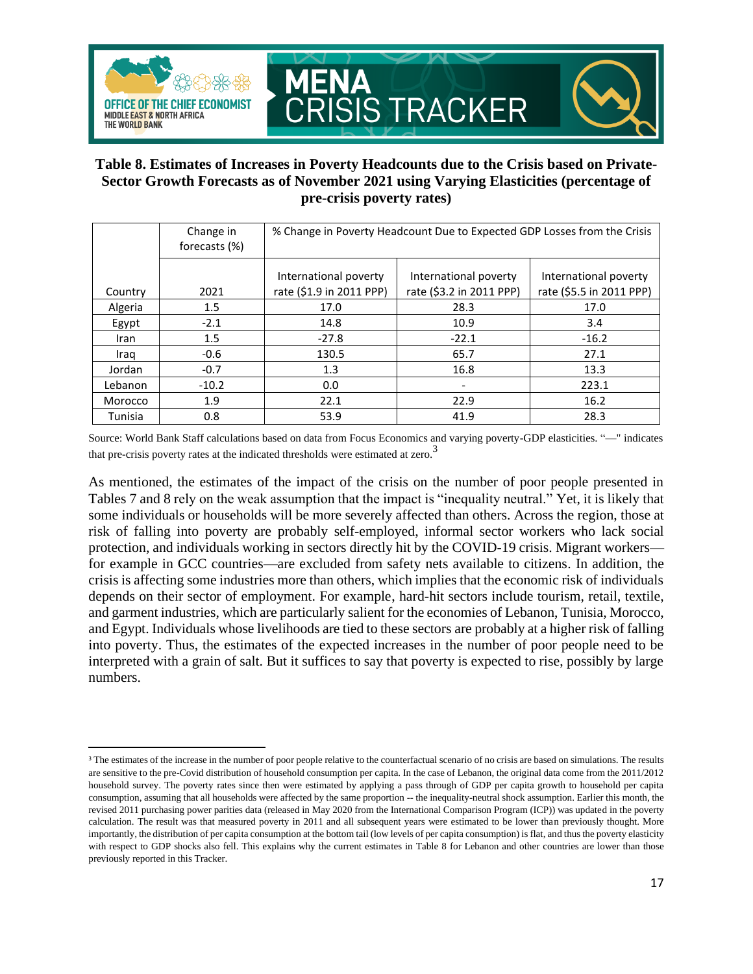

### **Table 8. Estimates of Increases in Poverty Headcounts due to the Crisis based on Private-Sector Growth Forecasts as of November 2021 using Varying Elasticities (percentage of pre-crisis poverty rates)**

|             | Change in<br>forecasts (%) | % Change in Poverty Headcount Due to Expected GDP Losses from the Crisis |                                                   |                                                   |
|-------------|----------------------------|--------------------------------------------------------------------------|---------------------------------------------------|---------------------------------------------------|
| Country     | 2021                       | International poverty<br>rate (\$1.9 in 2011 PPP)                        | International poverty<br>rate (\$3.2 in 2011 PPP) | International poverty<br>rate (\$5.5 in 2011 PPP) |
| Algeria     | 1.5                        | 17.0                                                                     | 28.3                                              | 17.0                                              |
| Egypt       | $-2.1$                     | 14.8                                                                     | 10.9                                              | 3.4                                               |
| <b>Iran</b> | 1.5                        | $-27.8$                                                                  | $-22.1$                                           | $-16.2$                                           |
| Iraq        | $-0.6$                     | 130.5                                                                    | 65.7                                              | 27.1                                              |
| Jordan      | $-0.7$                     | 1.3                                                                      | 16.8                                              | 13.3                                              |
| Lebanon     | $-10.2$                    | 0.0                                                                      |                                                   | 223.1                                             |
| Morocco     | 1.9                        | 22.1                                                                     | 22.9                                              | 16.2                                              |
| Tunisia     | 0.8                        | 53.9                                                                     | 41.9                                              | 28.3                                              |

Source: World Bank Staff calculations based on data from Focus Economics and varying poverty-GDP elasticities. "—" indicates that pre-crisis poverty rates at the indicated thresholds were estimated at zero.<sup>3</sup>

As mentioned, the estimates of the impact of the crisis on the number of poor people presented in Tables 7 and 8 rely on the weak assumption that the impact is "inequality neutral." Yet, it is likely that some individuals or households will be more severely affected than others. Across the region, those at risk of falling into poverty are probably self-employed, informal sector workers who lack social protection, and individuals working in sectors directly hit by the COVID-19 crisis. Migrant workers for example in GCC countries—are excluded from safety nets available to citizens. In addition, the crisis is affecting some industries more than others, which implies that the economic risk of individuals depends on their sector of employment. For example, hard-hit sectors include tourism, retail, textile, and garment industries, which are particularly salient for the economies of Lebanon, Tunisia, Morocco, and Egypt. Individuals whose livelihoods are tied to these sectors are probably at a higher risk of falling into poverty. Thus, the estimates of the expected increases in the number of poor people need to be interpreted with a grain of salt. But it suffices to say that poverty is expected to rise, possibly by large numbers.

<sup>&</sup>lt;sup>3</sup> The estimates of the increase in the number of poor people relative to the counterfactual scenario of no crisis are based on simulations. The results are sensitive to the pre-Covid distribution of household consumption per capita. In the case of Lebanon, the original data come from the 2011/2012 household survey. The poverty rates since then were estimated by applying a pass through of GDP per capita growth to household per capita consumption, assuming that all households were affected by the same proportion -- the inequality-neutral shock assumption. Earlier this month, the revised 2011 purchasing power parities data (released in May 2020 from the International Comparison Program (ICP)) was updated in the poverty calculation. The result was that measured poverty in 2011 and all subsequent years were estimated to be lower than previously thought. More importantly, the distribution of per capita consumption at the bottom tail (low levels of per capita consumption) is flat, and thus the poverty elasticity with respect to GDP shocks also fell. This explains why the current estimates in Table 8 for Lebanon and other countries are lower than those previously reported in this Tracker.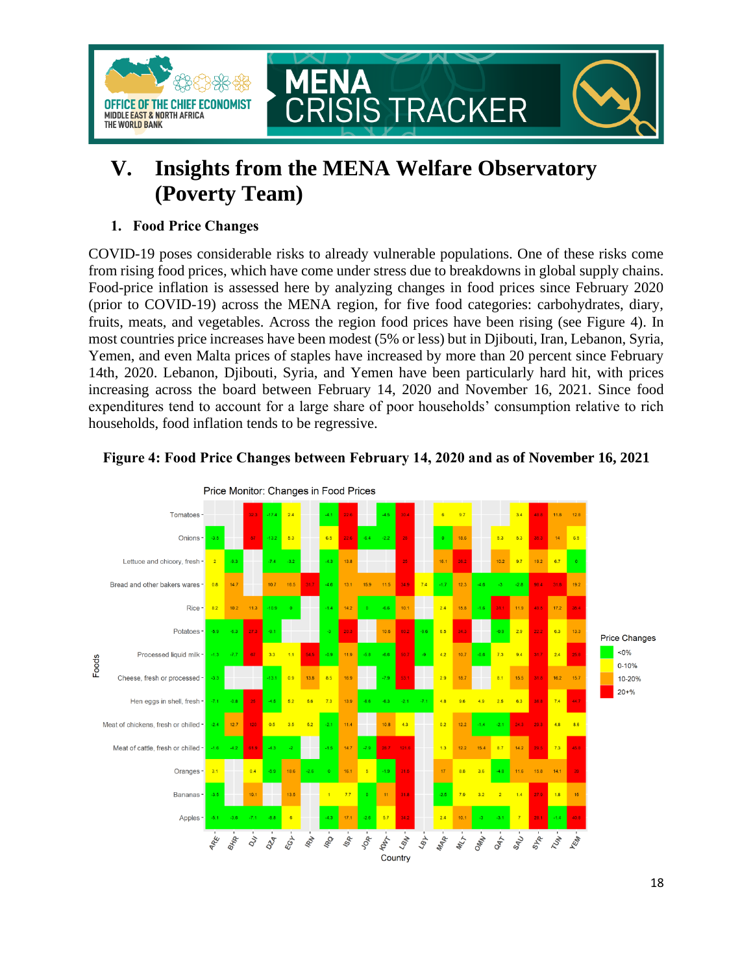

## <span id="page-17-0"></span>**V. Insights from the MENA Welfare Observatory (Poverty Team)**

### **1. Food Price Changes**

COVID-19 poses considerable risks to already vulnerable populations. One of these risks come from rising food prices, which have come under stress due to breakdowns in global supply chains. Food-price inflation is assessed here by analyzing changes in food prices since February 2020 (prior to COVID-19) across the MENA region, for five food categories: carbohydrates, diary, fruits, meats, and vegetables. Across the region food prices have been rising (see Figure 4). In most countries price increases have been modest (5% or less) but in Djibouti, Iran, Lebanon, Syria, Yemen, and even Malta prices of staples have increased by more than 20 percent since February 14th, 2020. Lebanon, Djibouti, Syria, and Yemen have been particularly hard hit, with prices increasing across the board between February 14, 2020 and November 16, 2021. Since food expenditures tend to account for a large share of poor households' consumption relative to rich households, food inflation tends to be regressive.



### **Figure 4: Food Price Changes between February 14, 2020 and as of November 16, 2021**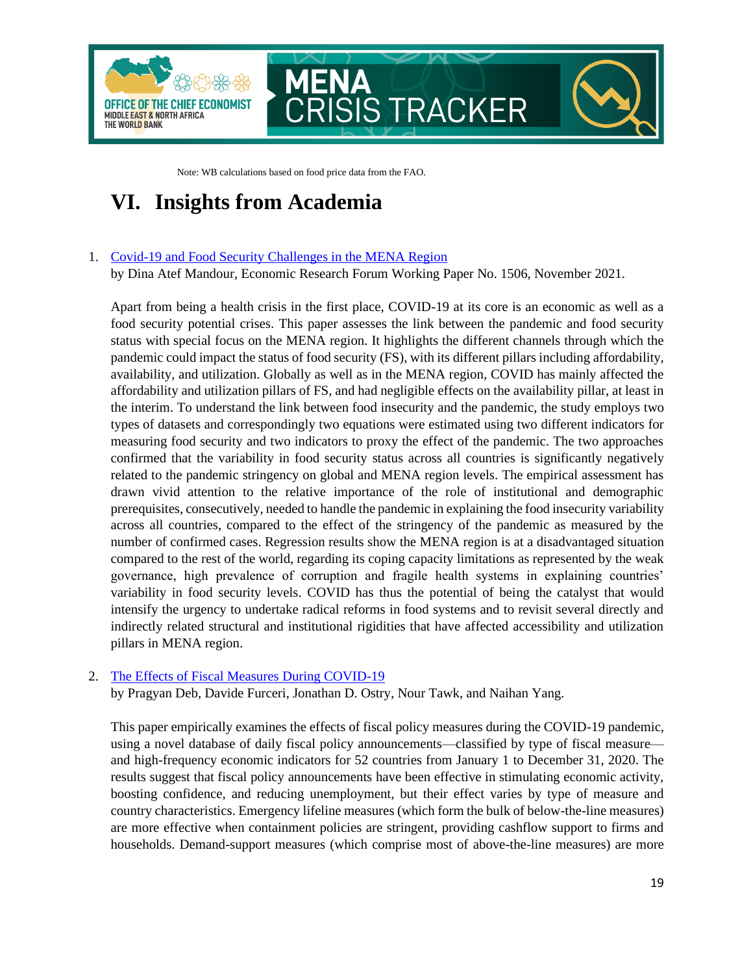

Note: WB calculations based on food price data from the FAO.

## <span id="page-18-0"></span>**VI. Insights from Academia**

#### 1. [Covid-19 and Food Security Challenges in the MENA Region](https://erf.org.eg/publications/covid-19-and-food-security-challenges-in-the-mena-region-2/)

by Dina Atef Mandour, Economic Research Forum Working Paper No. 1506, November 2021.

Apart from being a health crisis in the first place, COVID-19 at its core is an economic as well as a food security potential crises. This paper assesses the link between the pandemic and food security status with special focus on the MENA region. It highlights the different channels through which the pandemic could impact the status of food security (FS), with its different pillars including affordability, availability, and utilization. Globally as well as in the MENA region, COVID has mainly affected the affordability and utilization pillars of FS, and had negligible effects on the availability pillar, at least in the interim. To understand the link between food insecurity and the pandemic, the study employs two types of datasets and correspondingly two equations were estimated using two different indicators for measuring food security and two indicators to proxy the effect of the pandemic. The two approaches confirmed that the variability in food security status across all countries is significantly negatively related to the pandemic stringency on global and MENA region levels. The empirical assessment has drawn vivid attention to the relative importance of the role of institutional and demographic prerequisites, consecutively, needed to handle the pandemic in explaining the food insecurity variability across all countries, compared to the effect of the stringency of the pandemic as measured by the number of confirmed cases. Regression results show the MENA region is at a disadvantaged situation compared to the rest of the world, regarding its coping capacity limitations as represented by the weak governance, high prevalence of corruption and fragile health systems in explaining countries' variability in food security levels. COVID has thus the potential of being the catalyst that would intensify the urgency to undertake radical reforms in food systems and to revisit several directly and indirectly related structural and institutional rigidities that have affected accessibility and utilization pillars in MENA region.

#### 2. [The Effects of Fiscal Measures During COVID-19](https://www.imf.org/en/Publications/WP/Issues/2021/11/05/The-Effects-of-Fiscal-Measures-During-COVID-19-504347)

by Pragyan Deb, Davide Furceri, Jonathan D. Ostry, Nour Tawk, and Naihan Yang.

This paper empirically examines the effects of fiscal policy measures during the COVID-19 pandemic, using a novel database of daily fiscal policy announcements—classified by type of fiscal measure and high-frequency economic indicators for 52 countries from January 1 to December 31, 2020. The results suggest that fiscal policy announcements have been effective in stimulating economic activity, boosting confidence, and reducing unemployment, but their effect varies by type of measure and country characteristics. Emergency lifeline measures (which form the bulk of below-the-line measures) are more effective when containment policies are stringent, providing cashflow support to firms and households. Demand-support measures (which comprise most of above-the-line measures) are more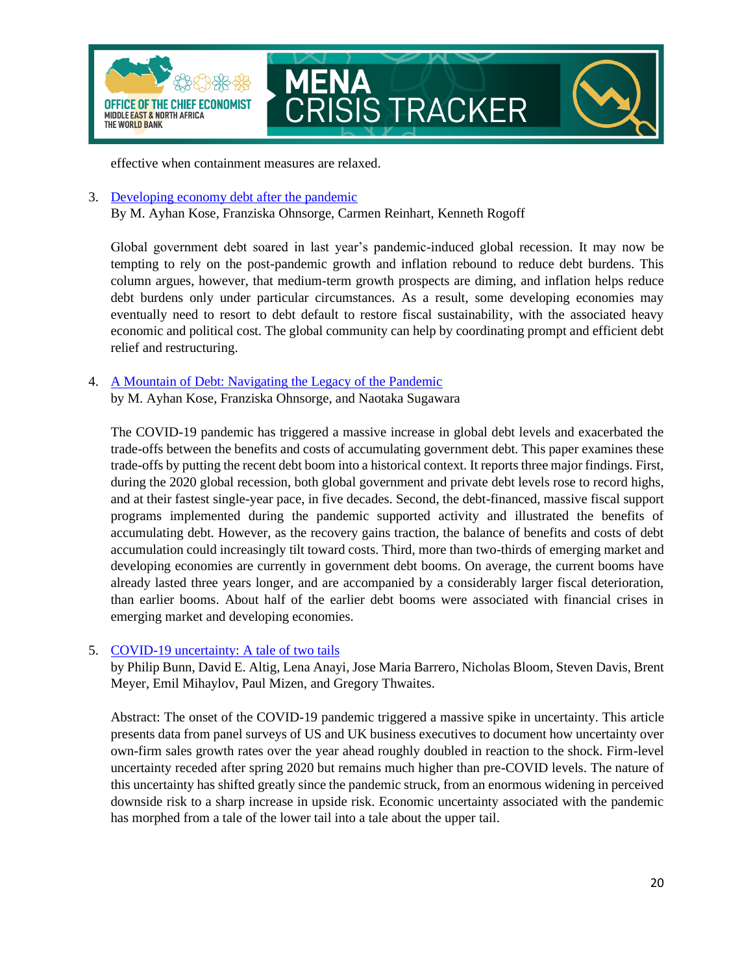

effective when containment measures are relaxed.

3. [Developing economy debt after the pandemic](https://voxeu.org/article/developing-economy-debt-after-pandemic)

By M. Ayhan Kose, Franziska Ohnsorge, Carmen Reinhart, Kenneth Rogoff

Global government debt soared in last year's pandemic-induced global recession. It may now be tempting to rely on the post-pandemic growth and inflation rebound to reduce debt burdens. This column argues, however, that medium-term growth prospects are diming, and inflation helps reduce debt burdens only under particular circumstances. As a result, some developing economies may eventually need to resort to debt default to restore fiscal sustainability, with the associated heavy economic and political cost. The global community can help by coordinating prompt and efficient debt relief and restructuring.

4. [A Mountain of Debt: Navigating the Legacy of the Pandemic](https://openknowledge.worldbank.org/bitstream/handle/10986/36386/A-Mountain-of-Debt-Navigating-the-Legacy-of-the-Pandemic.pdf?sequence=1&isAllowed=y) by M. Ayhan Kose, Franziska Ohnsorge, and Naotaka Sugawara

The COVID-19 pandemic has triggered a massive increase in global debt levels and exacerbated the trade-offs between the benefits and costs of accumulating government debt. This paper examines these trade-offs by putting the recent debt boom into a historical context. It reports three major findings. First, during the 2020 global recession, both global government and private debt levels rose to record highs, and at their fastest single-year pace, in five decades. Second, the debt-financed, massive fiscal support programs implemented during the pandemic supported activity and illustrated the benefits of accumulating debt. However, as the recovery gains traction, the balance of benefits and costs of debt accumulation could increasingly tilt toward costs. Third, more than two-thirds of emerging market and developing economies are currently in government debt booms. On average, the current booms have already lasted three years longer, and are accompanied by a considerably larger fiscal deterioration, than earlier booms. About half of the earlier debt booms were associated with financial crises in emerging market and developing economies.

#### 5. [COVID-19 uncertainty: A tale of two tails](https://voxeu.org/article/covid-19-uncertainty-tale-two-tails)

by Philip Bunn, David E. Altig, Lena Anayi, Jose Maria Barrero, Nicholas Bloom, Steven Davis, Brent Meyer, Emil Mihaylov, Paul Mizen, and Gregory Thwaites.

Abstract: The onset of the COVID-19 pandemic triggered a massive spike in uncertainty. This article presents data from panel surveys of US and UK business executives to document how uncertainty over own-firm sales growth rates over the year ahead roughly doubled in reaction to the shock. Firm-level uncertainty receded after spring 2020 but remains much higher than pre-COVID levels. The nature of this uncertainty has shifted greatly since the pandemic struck, from an enormous widening in perceived downside risk to a sharp increase in upside risk. Economic uncertainty associated with the pandemic has morphed from a tale of the lower tail into a tale about the upper tail.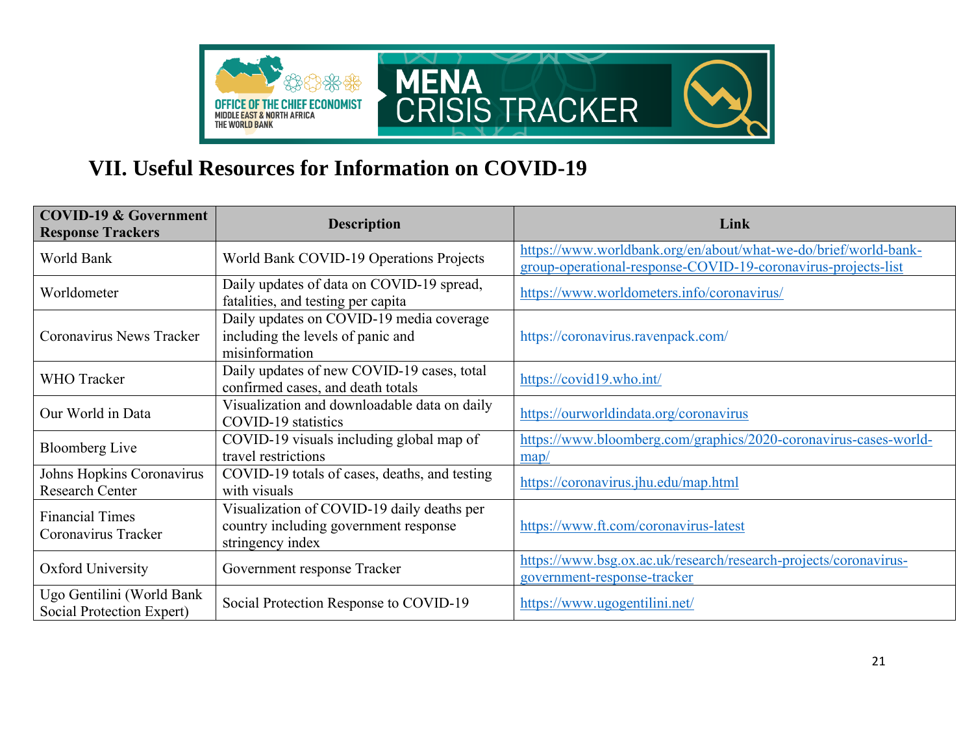

## **VII. Useful Resources for Information on COVID-19**

<span id="page-20-0"></span>

| <b>COVID-19 &amp; Government</b><br><b>Response Trackers</b> | <b>Description</b>                                                                                      | Link                                                                                                                             |
|--------------------------------------------------------------|---------------------------------------------------------------------------------------------------------|----------------------------------------------------------------------------------------------------------------------------------|
| World Bank                                                   | World Bank COVID-19 Operations Projects                                                                 | https://www.worldbank.org/en/about/what-we-do/brief/world-bank-<br>group-operational-response-COVID-19-coronavirus-projects-list |
| Worldometer                                                  | Daily updates of data on COVID-19 spread,<br>fatalities, and testing per capita                         | https://www.worldometers.info/coronavirus/                                                                                       |
| Coronavirus News Tracker                                     | Daily updates on COVID-19 media coverage<br>including the levels of panic and<br>misinformation         | https://coronavirus.ravenpack.com/                                                                                               |
| <b>WHO</b> Tracker                                           | Daily updates of new COVID-19 cases, total<br>confirmed cases, and death totals                         | https://covid19.who.int/                                                                                                         |
| Our World in Data                                            | Visualization and downloadable data on daily<br>COVID-19 statistics                                     | https://ourworldindata.org/coronavirus                                                                                           |
| <b>Bloomberg Live</b>                                        | COVID-19 visuals including global map of<br>travel restrictions                                         | https://www.bloomberg.com/graphics/2020-coronavirus-cases-world-<br>$\frac{map}{ }$                                              |
| Johns Hopkins Coronavirus<br><b>Research Center</b>          | COVID-19 totals of cases, deaths, and testing<br>with visuals                                           | https://coronavirus.jhu.edu/map.html                                                                                             |
| <b>Financial Times</b><br>Coronavirus Tracker                | Visualization of COVID-19 daily deaths per<br>country including government response<br>stringency index | https://www.ft.com/coronavirus-latest                                                                                            |
| Oxford University                                            | Government response Tracker                                                                             | https://www.bsg.ox.ac.uk/research/research-projects/coronavirus-<br>government-response-tracker                                  |
| Ugo Gentilini (World Bank<br>Social Protection Expert)       | Social Protection Response to COVID-19                                                                  | https://www.ugogentilini.net/                                                                                                    |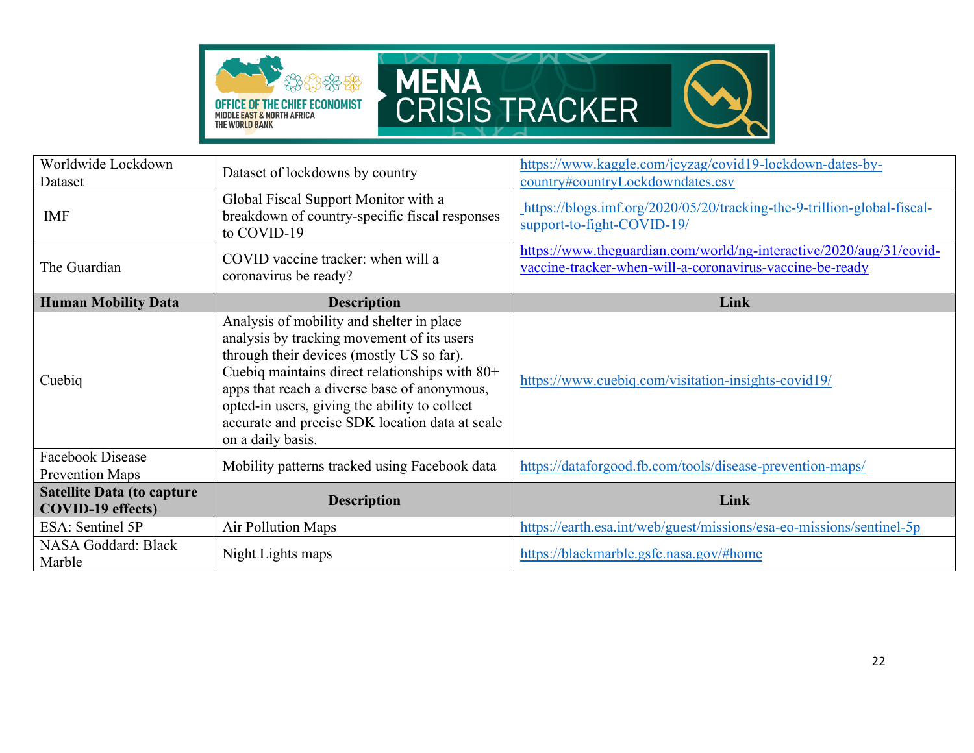



| Worldwide Lockdown<br>Dataset                                 | Dataset of lockdowns by country                                                                                                                                                                                                                                                                                                                                 | https://www.kaggle.com/jcyzag/covid19-lockdown-dates-by-<br>country#countryLockdowndates.csv                                    |
|---------------------------------------------------------------|-----------------------------------------------------------------------------------------------------------------------------------------------------------------------------------------------------------------------------------------------------------------------------------------------------------------------------------------------------------------|---------------------------------------------------------------------------------------------------------------------------------|
| <b>IMF</b>                                                    | Global Fiscal Support Monitor with a<br>breakdown of country-specific fiscal responses<br>to COVID-19                                                                                                                                                                                                                                                           | https://blogs.imf.org/2020/05/20/tracking-the-9-trillion-global-fiscal-<br>support-to-fight-COVID-19/                           |
| The Guardian                                                  | COVID vaccine tracker: when will a<br>coronavirus be ready?                                                                                                                                                                                                                                                                                                     | https://www.theguardian.com/world/ng-interactive/2020/aug/31/covid-<br>vaccine-tracker-when-will-a-coronavirus-vaccine-be-ready |
| <b>Human Mobility Data</b>                                    | <b>Description</b>                                                                                                                                                                                                                                                                                                                                              | Link                                                                                                                            |
| Cuebiq                                                        | Analysis of mobility and shelter in place<br>analysis by tracking movement of its users<br>through their devices (mostly US so far).<br>Cuebiq maintains direct relationships with 80+<br>apps that reach a diverse base of anonymous,<br>opted-in users, giving the ability to collect<br>accurate and precise SDK location data at scale<br>on a daily basis. | https://www.cuebiq.com/visitation-insights-covid19/                                                                             |
| Facebook Disease<br><b>Prevention Maps</b>                    | Mobility patterns tracked using Facebook data                                                                                                                                                                                                                                                                                                                   | https://dataforgood.fb.com/tools/disease-prevention-maps/                                                                       |
| <b>Satellite Data (to capture</b><br><b>COVID-19</b> effects) | <b>Description</b>                                                                                                                                                                                                                                                                                                                                              | Link                                                                                                                            |
| ESA: Sentinel 5P                                              | Air Pollution Maps                                                                                                                                                                                                                                                                                                                                              | https://earth.esa.int/web/guest/missions/esa-eo-missions/sentinel-5p                                                            |
| NASA Goddard: Black<br>Marble                                 | Night Lights maps                                                                                                                                                                                                                                                                                                                                               | https://blackmarble.gsfc.nasa.gov/#home                                                                                         |